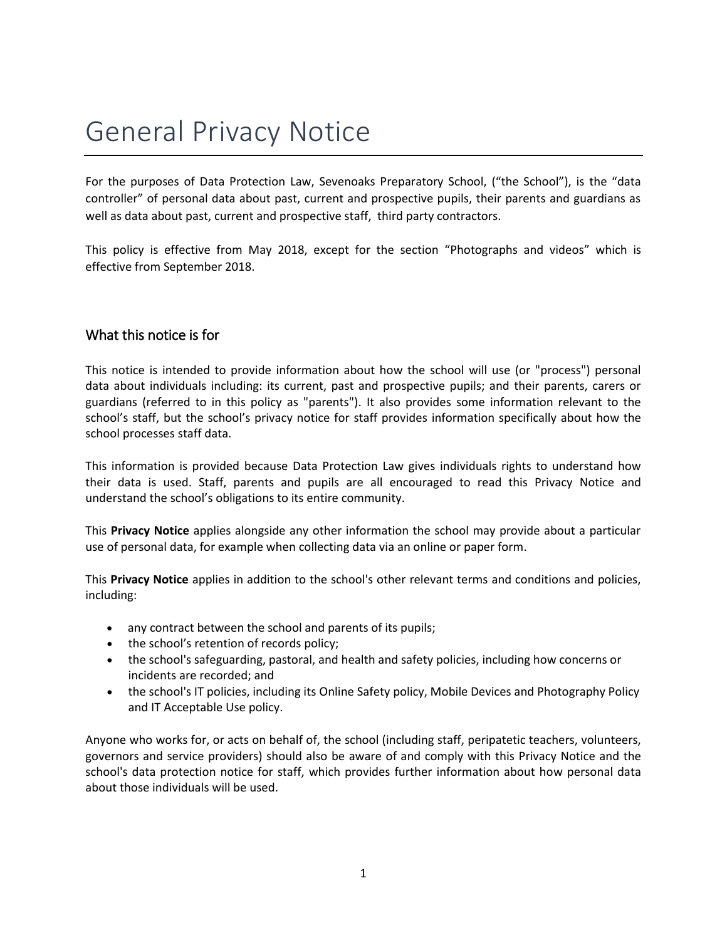# General Privacy Notice

For the purposes of Data Protection Law, Sevenoaks Preparatory School, ("the School"), is the "data controller" of personal data about past, current and prospective pupils, their parents and guardians as well as data about past, current and prospective staff, third party contractors.

This policy is effective from May 2018, except for the section "Photographs and videos" which is effective from September 2018.

## What this notice is for

This notice is intended to provide information about how the school will use (or "process") personal data about individuals including: its current, past and prospective pupils; and their parents, carers or guardians (referred to in this policy as "parents"). It also provides some information relevant to the school's staff, but the school's privacy notice for staff provides information specifically about how the school processes staff data.

This information is provided because Data Protection Law gives individuals rights to understand how their data is used. Staff, parents and pupils are all encouraged to read this Privacy Notice and understand the school's obligations to its entire community.

This **Privacy Notice** applies alongside any other information the school may provide about a particular use of personal data, for example when collecting data via an online or paper form.

This **Privacy Notice** applies in addition to the school's other relevant terms and conditions and policies, including:

- any contract between the school and parents of its pupils;
- the school's retention of records policy;
- the school's safeguarding, pastoral, and health and safety policies, including how concerns or incidents are recorded; and
- the school's IT policies, including its Online Safety policy, Mobile Devices and Photography Policy and IT Acceptable Use policy.

Anyone who works for, or acts on behalf of, the school (including staff, peripatetic teachers, volunteers, governors and service providers) should also be aware of and comply with this Privacy Notice and the school's data protection notice for staff, which provides further information about how personal data about those individuals will be used.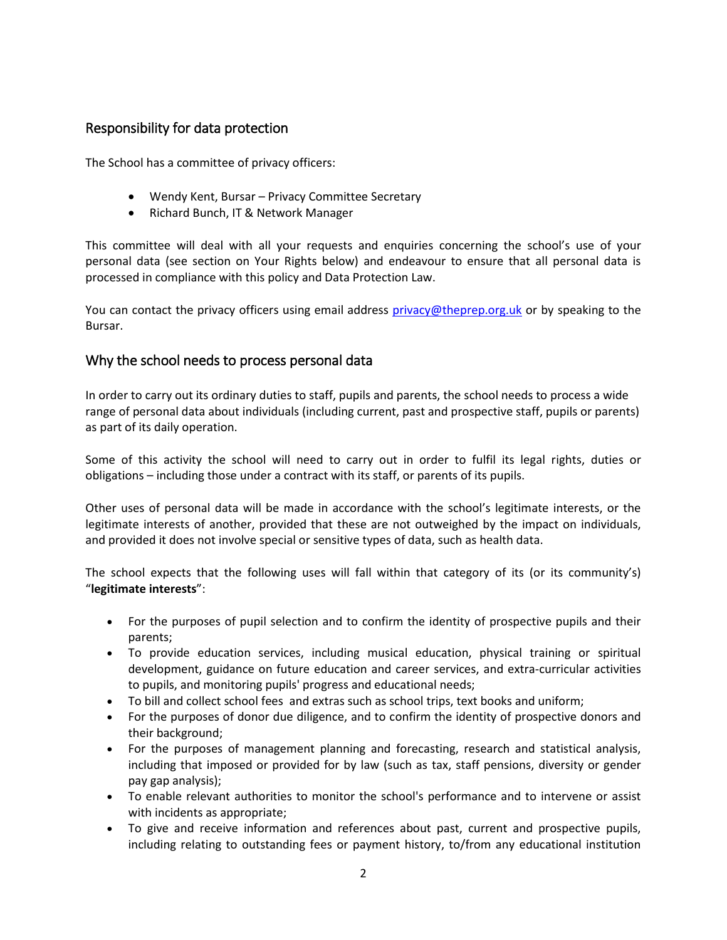## Responsibility for data protection

The School has a committee of privacy officers:

- Wendy Kent, Bursar Privacy Committee Secretary
- Richard Bunch, IT & Network Manager

This committee will deal with all your requests and enquiries concerning the school's use of your personal data (see section on Your Rights below) and endeavour to ensure that all personal data is processed in compliance with this policy and Data Protection Law.

You can contact the privacy officers using email address [privacy@theprep.org.uk](mailto:privacy@theprep.org.uk) or by speaking to the Bursar.

## Why the school needs to process personal data

In order to carry out its ordinary duties to staff, pupils and parents, the school needs to process a wide range of personal data about individuals (including current, past and prospective staff, pupils or parents) as part of its daily operation.

Some of this activity the school will need to carry out in order to fulfil its legal rights, duties or obligations – including those under a contract with its staff, or parents of its pupils.

Other uses of personal data will be made in accordance with the school's legitimate interests, or the legitimate interests of another, provided that these are not outweighed by the impact on individuals, and provided it does not involve special or sensitive types of data, such as health data.

The school expects that the following uses will fall within that category of its (or its community's) "**legitimate interests**":

- For the purposes of pupil selection and to confirm the identity of prospective pupils and their parents;
- To provide education services, including musical education, physical training or spiritual development, guidance on future education and career services, and extra-curricular activities to pupils, and monitoring pupils' progress and educational needs;
- To bill and collect school fees and extras such as school trips, text books and uniform;
- For the purposes of donor due diligence, and to confirm the identity of prospective donors and their background;
- For the purposes of management planning and forecasting, research and statistical analysis, including that imposed or provided for by law (such as tax, staff pensions, diversity or gender pay gap analysis);
- To enable relevant authorities to monitor the school's performance and to intervene or assist with incidents as appropriate;
- To give and receive information and references about past, current and prospective pupils, including relating to outstanding fees or payment history, to/from any educational institution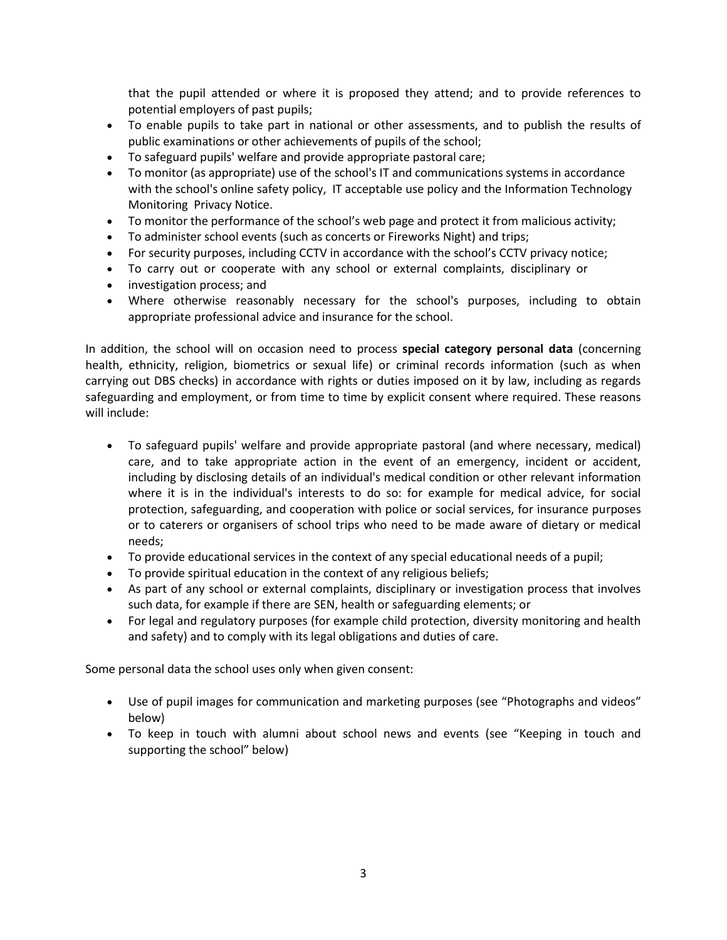that the pupil attended or where it is proposed they attend; and to provide references to potential employers of past pupils;

- To enable pupils to take part in national or other assessments, and to publish the results of public examinations or other achievements of pupils of the school;
- To safeguard pupils' welfare and provide appropriate pastoral care;
- To monitor (as appropriate) use of the school's IT and communications systems in accordance with the school's online safety policy, IT acceptable use policy and the Information Technology Monitoring Privacy Notice.
- To monitor the performance of the school's web page and protect it from malicious activity;
- To administer school events (such as concerts or Fireworks Night) and trips;
- For security purposes, including CCTV in accordance with the school's CCTV privacy notice;
- To carry out or cooperate with any school or external complaints, disciplinary or
- investigation process; and
- Where otherwise reasonably necessary for the school's purposes, including to obtain appropriate professional advice and insurance for the school.

In addition, the school will on occasion need to process **special category personal data** (concerning health, ethnicity, religion, biometrics or sexual life) or criminal records information (such as when carrying out DBS checks) in accordance with rights or duties imposed on it by law, including as regards safeguarding and employment, or from time to time by explicit consent where required. These reasons will include:

- To safeguard pupils' welfare and provide appropriate pastoral (and where necessary, medical) care, and to take appropriate action in the event of an emergency, incident or accident, including by disclosing details of an individual's medical condition or other relevant information where it is in the individual's interests to do so: for example for medical advice, for social protection, safeguarding, and cooperation with police or social services, for insurance purposes or to caterers or organisers of school trips who need to be made aware of dietary or medical needs;
- To provide educational services in the context of any special educational needs of a pupil;
- To provide spiritual education in the context of any religious beliefs;
- As part of any school or external complaints, disciplinary or investigation process that involves such data, for example if there are SEN, health or safeguarding elements; or
- For legal and regulatory purposes (for example child protection, diversity monitoring and health and safety) and to comply with its legal obligations and duties of care.

Some personal data the school uses only when given consent:

- Use of pupil images for communication and marketing purposes (see "Photographs and videos" below)
- To keep in touch with alumni about school news and events (see "Keeping in touch and supporting the school" below)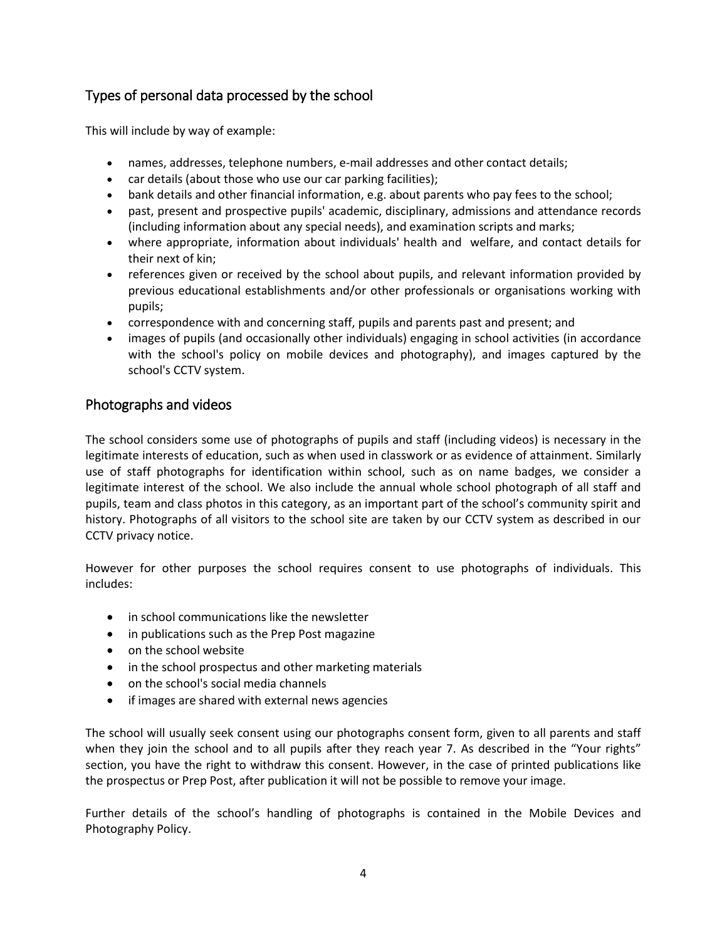## Types of personal data processed by the school

This will include by way of example:

- names, addresses, telephone numbers, e-mail addresses and other contact details;
- car details (about those who use our car parking facilities);
- bank details and other financial information, e.g. about parents who pay fees to the school;
- past, present and prospective pupils' academic, disciplinary, admissions and attendance records (including information about any special needs), and examination scripts and marks;
- where appropriate, information about individuals' health and welfare, and contact details for their next of kin;
- references given or received by the school about pupils, and relevant information provided by previous educational establishments and/or other professionals or organisations working with pupils;
- correspondence with and concerning staff, pupils and parents past and present; and
- images of pupils (and occasionally other individuals) engaging in school activities (in accordance with the school's policy on mobile devices and photography), and images captured by the school's CCTV system.

## Photographs and videos

The school considers some use of photographs of pupils and staff (including videos) is necessary in the legitimate interests of education, such as when used in classwork or as evidence of attainment. Similarly use of staff photographs for identification within school, such as on name badges, we consider a legitimate interest of the school. We also include the annual whole school photograph of all staff and pupils, team and class photos in this category, as an important part of the school's community spirit and history. Photographs of all visitors to the school site are taken by our CCTV system as described in our CCTV privacy notice.

However for other purposes the school requires consent to use photographs of individuals. This includes:

- in school communications like the newsletter
- in publications such as the Prep Post magazine
- on the school website
- in the school prospectus and other marketing materials
- on the school's social media channels
- if images are shared with external news agencies

The school will usually seek consent using our photographs consent form, given to all parents and staff when they join the school and to all pupils after they reach year 7. As described in the "Your rights" section, you have the right to withdraw this consent. However, in the case of printed publications like the prospectus or Prep Post, after publication it will not be possible to remove your image.

Further details of the school's handling of photographs is contained in the Mobile Devices and Photography Policy.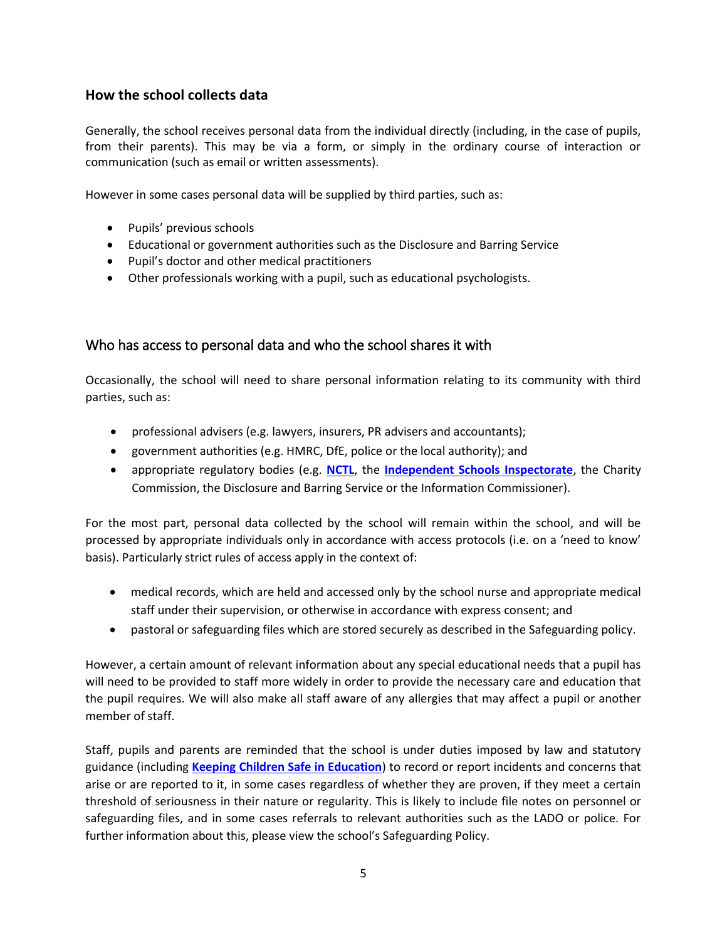## **How the school collects data**

Generally, the school receives personal data from the individual directly (including, in the case of pupils, from their parents). This may be via a form, or simply in the ordinary course of interaction or communication (such as email or written assessments).

However in some cases personal data will be supplied by third parties, such as:

- Pupils' previous schools
- Educational or government authorities such as the Disclosure and Barring Service
- Pupil's doctor and other medical practitioners
- Other professionals working with a pupil, such as educational psychologists.

## Who has access to personal data and who the school shares it with

Occasionally, the school will need to share personal information relating to its community with third parties, such as:

- professional advisers (e.g. lawyers, insurers, PR advisers and accountants);
- government authorities (e.g. HMRC, DfE, police or the local authority); and
- appropriate regulatory bodies (e.g. **[NCTL](https://www.gov.uk/government/organisations/national-college-for-teaching-and-leadership)**, the **[Independent Schools Inspectorate](https://www.isi.net/)**, the Charity Commission, the Disclosure and Barring Service or the Information Commissioner).

For the most part, personal data collected by the school will remain within the school, and will be processed by appropriate individuals only in accordance with access protocols (i.e. on a 'need to know' basis). Particularly strict rules of access apply in the context of:

- medical records, which are held and accessed only by the school nurse and appropriate medical staff under their supervision, or otherwise in accordance with express consent; and
- pastoral or safeguarding files which are stored securely as described in the Safeguarding policy.

However, a certain amount of relevant information about any special educational needs that a pupil has will need to be provided to staff more widely in order to provide the necessary care and education that the pupil requires. We will also make all staff aware of any allergies that may affect a pupil or another member of staff.

Staff, pupils and parents are reminded that the school is under duties imposed by law and statutory guidance (including **[Keeping Children Safe in Education](https://www.gov.uk/government/publications/keeping-children-safe-in-education--2)**) to record or report incidents and concerns that arise or are reported to it, in some cases regardless of whether they are proven, if they meet a certain threshold of seriousness in their nature or regularity. This is likely to include file notes on personnel or safeguarding files, and in some cases referrals to relevant authorities such as the LADO or police. For further information about this, please view the school's Safeguarding Policy.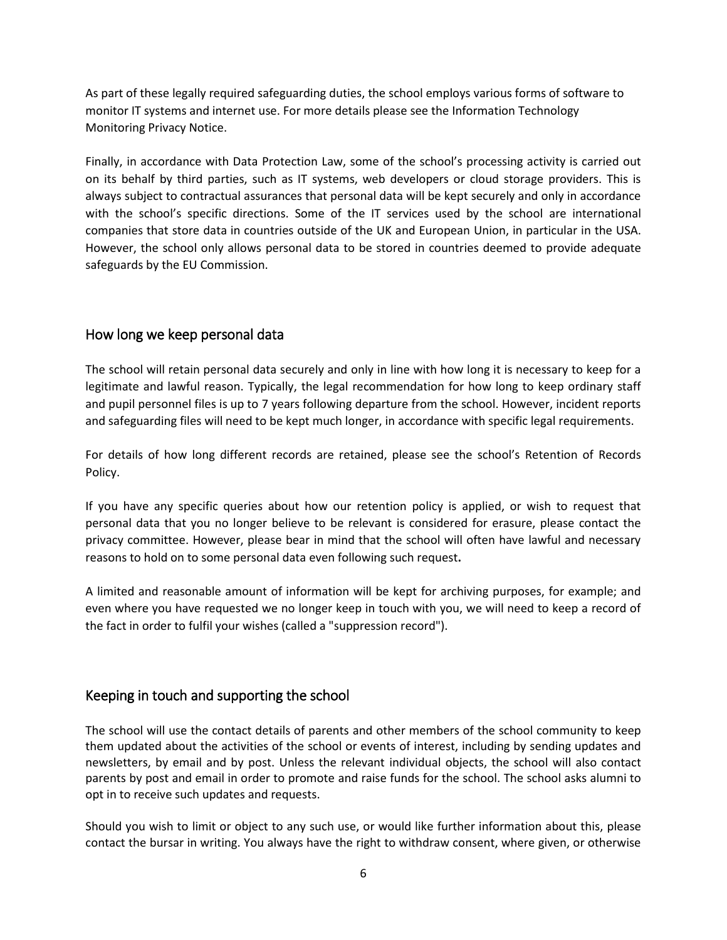As part of these legally required safeguarding duties, the school employs various forms of software to monitor IT systems and internet use. For more details please see the Information Technology Monitoring Privacy Notice.

Finally, in accordance with Data Protection Law, some of the school's processing activity is carried out on its behalf by third parties, such as IT systems, web developers or cloud storage providers. This is always subject to contractual assurances that personal data will be kept securely and only in accordance with the school's specific directions. Some of the IT services used by the school are international companies that store data in countries outside of the UK and European Union, in particular in the USA. However, the school only allows personal data to be stored in countries deemed to provide adequate safeguards by the EU Commission.

## How long we keep personal data

The school will retain personal data securely and only in line with how long it is necessary to keep for a legitimate and lawful reason. Typically, the legal recommendation for how long to keep ordinary staff and pupil personnel files is up to 7 years following departure from the school. However, incident reports and safeguarding files will need to be kept much longer, in accordance with specific legal requirements.

For details of how long different records are retained, please see the school's Retention of Records Policy.

If you have any specific queries about how our retention policy is applied, or wish to request that personal data that you no longer believe to be relevant is considered for erasure, please contact the privacy committee. However, please bear in mind that the school will often have lawful and necessary reasons to hold on to some personal data even following such request**.** 

A limited and reasonable amount of information will be kept for archiving purposes, for example; and even where you have requested we no longer keep in touch with you, we will need to keep a record of the fact in order to fulfil your wishes (called a "suppression record").

## Keeping in touch and supporting the school

The school will use the contact details of parents and other members of the school community to keep them updated about the activities of the school or events of interest, including by sending updates and newsletters, by email and by post. Unless the relevant individual objects, the school will also contact parents by post and email in order to promote and raise funds for the school. The school asks alumni to opt in to receive such updates and requests.

Should you wish to limit or object to any such use, or would like further information about this, please contact the bursar in writing. You always have the right to withdraw consent, where given, or otherwise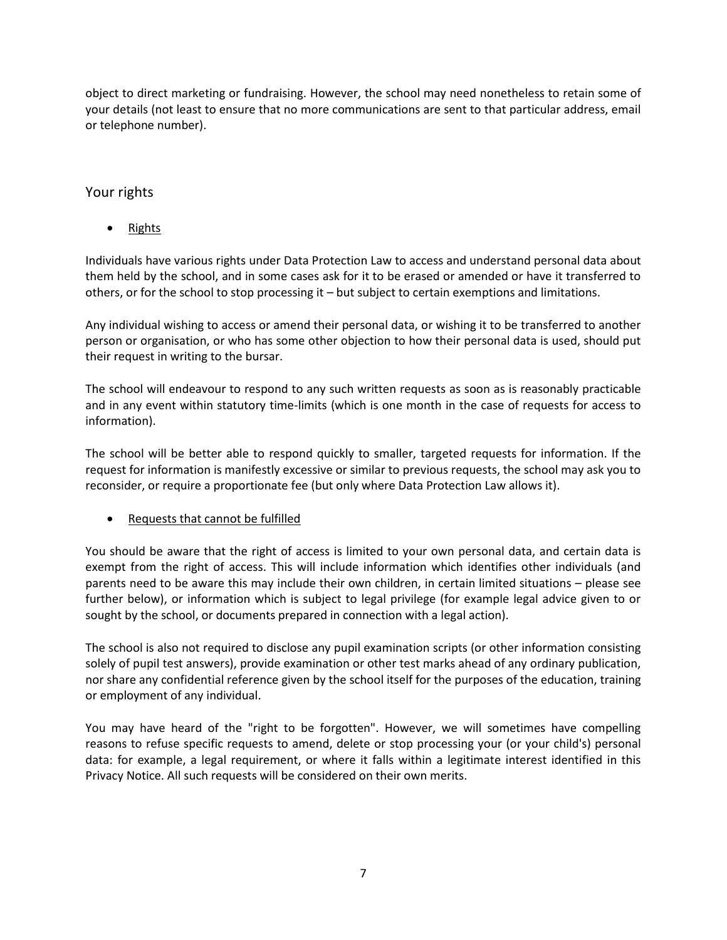object to direct marketing or fundraising. However, the school may need nonetheless to retain some of your details (not least to ensure that no more communications are sent to that particular address, email or telephone number).

## Your rights

Rights

Individuals have various rights under Data Protection Law to access and understand personal data about them held by the school, and in some cases ask for it to be erased or amended or have it transferred to others, or for the school to stop processing it – but subject to certain exemptions and limitations.

Any individual wishing to access or amend their personal data, or wishing it to be transferred to another person or organisation, or who has some other objection to how their personal data is used, should put their request in writing to the bursar.

The school will endeavour to respond to any such written requests as soon as is reasonably practicable and in any event within statutory time-limits (which is one month in the case of requests for access to information).

The school will be better able to respond quickly to smaller, targeted requests for information. If the request for information is manifestly excessive or similar to previous requests, the school may ask you to reconsider, or require a proportionate fee (but only where Data Protection Law allows it).

Requests that cannot be fulfilled

You should be aware that the right of access is limited to your own personal data, and certain data is exempt from the right of access. This will include information which identifies other individuals (and parents need to be aware this may include their own children, in certain limited situations – please see further below), or information which is subject to legal privilege (for example legal advice given to or sought by the school, or documents prepared in connection with a legal action).

The school is also not required to disclose any pupil examination scripts (or other information consisting solely of pupil test answers), provide examination or other test marks ahead of any ordinary publication, nor share any confidential reference given by the school itself for the purposes of the education, training or employment of any individual.

You may have heard of the "right to be forgotten". However, we will sometimes have compelling reasons to refuse specific requests to amend, delete or stop processing your (or your child's) personal data: for example, a legal requirement, or where it falls within a legitimate interest identified in this Privacy Notice. All such requests will be considered on their own merits.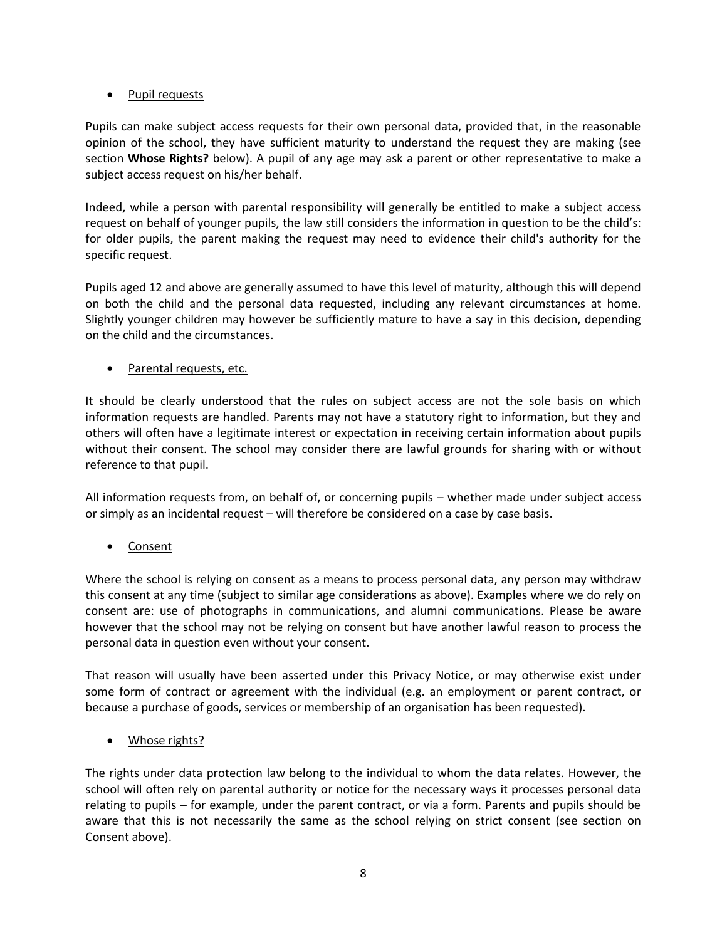## • Pupil requests

Pupils can make subject access requests for their own personal data, provided that, in the reasonable opinion of the school, they have sufficient maturity to understand the request they are making (see section **Whose Rights?** below). A pupil of any age may ask a parent or other representative to make a subject access request on his/her behalf.

Indeed, while a person with parental responsibility will generally be entitled to make a subject access request on behalf of younger pupils, the law still considers the information in question to be the child's: for older pupils, the parent making the request may need to evidence their child's authority for the specific request.

Pupils aged 12 and above are generally assumed to have this level of maturity, although this will depend on both the child and the personal data requested, including any relevant circumstances at home. Slightly younger children may however be sufficiently mature to have a say in this decision, depending on the child and the circumstances.

Parental requests, etc.

It should be clearly understood that the rules on subject access are not the sole basis on which information requests are handled. Parents may not have a statutory right to information, but they and others will often have a legitimate interest or expectation in receiving certain information about pupils without their consent. The school may consider there are lawful grounds for sharing with or without reference to that pupil.

All information requests from, on behalf of, or concerning pupils – whether made under subject access or simply as an incidental request – will therefore be considered on a case by case basis.

• Consent

Where the school is relying on consent as a means to process personal data, any person may withdraw this consent at any time (subject to similar age considerations as above). Examples where we do rely on consent are: use of photographs in communications, and alumni communications. Please be aware however that the school may not be relying on consent but have another lawful reason to process the personal data in question even without your consent.

That reason will usually have been asserted under this Privacy Notice, or may otherwise exist under some form of contract or agreement with the individual (e.g. an employment or parent contract, or because a purchase of goods, services or membership of an organisation has been requested).

• Whose rights?

The rights under data protection law belong to the individual to whom the data relates. However, the school will often rely on parental authority or notice for the necessary ways it processes personal data relating to pupils – for example, under the parent contract, or via a form. Parents and pupils should be aware that this is not necessarily the same as the school relying on strict consent (see section on Consent above).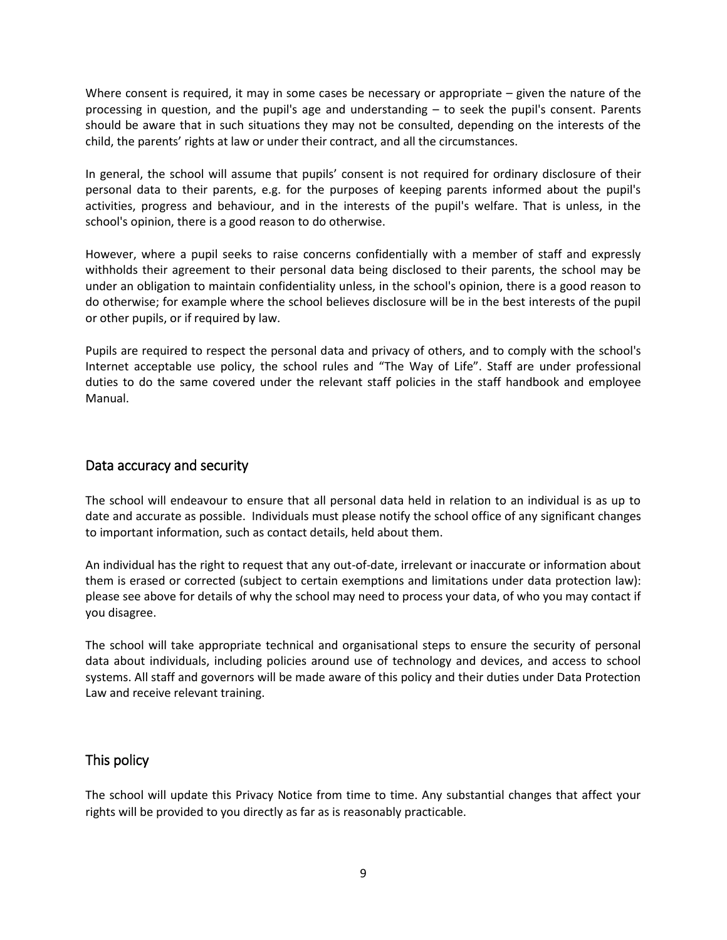Where consent is required, it may in some cases be necessary or appropriate  $-$  given the nature of the processing in question, and the pupil's age and understanding – to seek the pupil's consent. Parents should be aware that in such situations they may not be consulted, depending on the interests of the child, the parents' rights at law or under their contract, and all the circumstances.

In general, the school will assume that pupils' consent is not required for ordinary disclosure of their personal data to their parents, e.g. for the purposes of keeping parents informed about the pupil's activities, progress and behaviour, and in the interests of the pupil's welfare. That is unless, in the school's opinion, there is a good reason to do otherwise.

However, where a pupil seeks to raise concerns confidentially with a member of staff and expressly withholds their agreement to their personal data being disclosed to their parents, the school may be under an obligation to maintain confidentiality unless, in the school's opinion, there is a good reason to do otherwise; for example where the school believes disclosure will be in the best interests of the pupil or other pupils, or if required by law.

Pupils are required to respect the personal data and privacy of others, and to comply with the school's Internet acceptable use policy, the school rules and "The Way of Life". Staff are under professional duties to do the same covered under the relevant staff policies in the staff handbook and employee Manual.

## Data accuracy and security

The school will endeavour to ensure that all personal data held in relation to an individual is as up to date and accurate as possible. Individuals must please notify the school office of any significant changes to important information, such as contact details, held about them.

An individual has the right to request that any out-of-date, irrelevant or inaccurate or information about them is erased or corrected (subject to certain exemptions and limitations under data protection law): please see above for details of why the school may need to process your data, of who you may contact if you disagree.

The school will take appropriate technical and organisational steps to ensure the security of personal data about individuals, including policies around use of technology and devices, and access to school systems. All staff and governors will be made aware of this policy and their duties under Data Protection Law and receive relevant training.

## This policy

The school will update this Privacy Notice from time to time. Any substantial changes that affect your rights will be provided to you directly as far as is reasonably practicable.